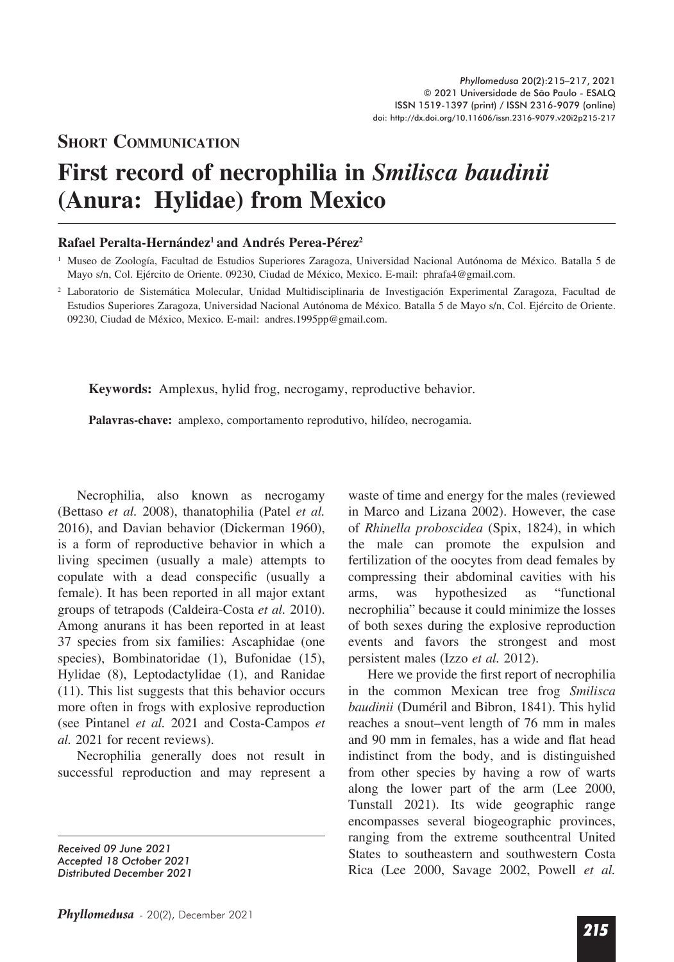## **SHORT COMMUNICATION**

## **First record of necrophilia in** *Smilisca baudinii* **(Anura: Hylidae) from Mexico**

## **Rafael Peralta-Hernández1 and Andrés Perea-Pérez2**

<sup>2</sup> Laboratorio de Sistemática Molecular, Unidad Multidisciplinaria de Investigación Experimental Zaragoza, Facultad de Estudios Superiores Zaragoza, Universidad Nacional Autónoma de México. Batalla 5 de Mayo s/n, Col. Ejército de Oriente. 09230, Ciudad de México, Mexico. E-mail: andres.1995pp@gmail.com.

**Keywords:** Amplexus, hylid frog, necrogamy, reproductive behavior.

**Palavras-chave:** amplexo, comportamento reprodutivo, hilídeo, necrogamia.

Necrophilia, also known as necrogamy (Bettaso *et al.* 2008), thanatophilia (Patel *et al.*  2016), and Davian behavior (Dickerman 1960), is a form of reproductive behavior in which a living specimen (usually a male) attempts to copulate with a dead conspecific (usually a female). It has been reported in all major extant groups of tetrapods (Caldeira-Costa *et al.* 2010). Among anurans it has been reported in at least 37 species from six families: Ascaphidae (one species), Bombinatoridae (1), Bufonidae (15), Hylidae (8), Leptodactylidae (1), and Ranidae (11). This list suggests that this behavior occurs more often in frogs with explosive reproduction (see Pintanel *et al.* 2021 and Costa-Campos *et al.* 2021 for recent reviews).

Necrophilia generally does not result in successful reproduction and may represent a

*Received 09 June 2021 Accepted 18 October 2021 Distributed December 2021* waste of time and energy for the males (reviewed in Marco and Lizana 2002). However, the case of *Rhinella proboscidea* (Spix, 1824), in which the male can promote the expulsion and fertilization of the oocytes from dead females by compressing their abdominal cavities with his arms, was hypothesized as "functional necrophilia" because it could minimize the losses of both sexes during the explosive reproduction events and favors the strongest and most persistent males (Izzo *et al.* 2012).

Here we provide the first report of necrophilia in the common Mexican tree frog *Smilisca baudinii* (Duméril and Bibron, 1841). This hylid reaches a snout–vent length of 76 mm in males and 90 mm in females, has a wide and flat head indistinct from the body, and is distinguished from other species by having a row of warts along the lower part of the arm (Lee 2000, Tunstall 2021). Its wide geographic range encompasses several biogeographic provinces, ranging from the extreme southcentral United States to southeastern and southwestern Costa Rica (Lee 2000, Savage 2002, Powell *et al.* 

<sup>1</sup> Museo de Zoología, Facultad de Estudios Superiores Zaragoza, Universidad Nacional Autónoma de México. Batalla 5 de Mayo s/n, Col. Ejército de Oriente. 09230, Ciudad de México, Mexico. E-mail: phrafa4@gmail.com.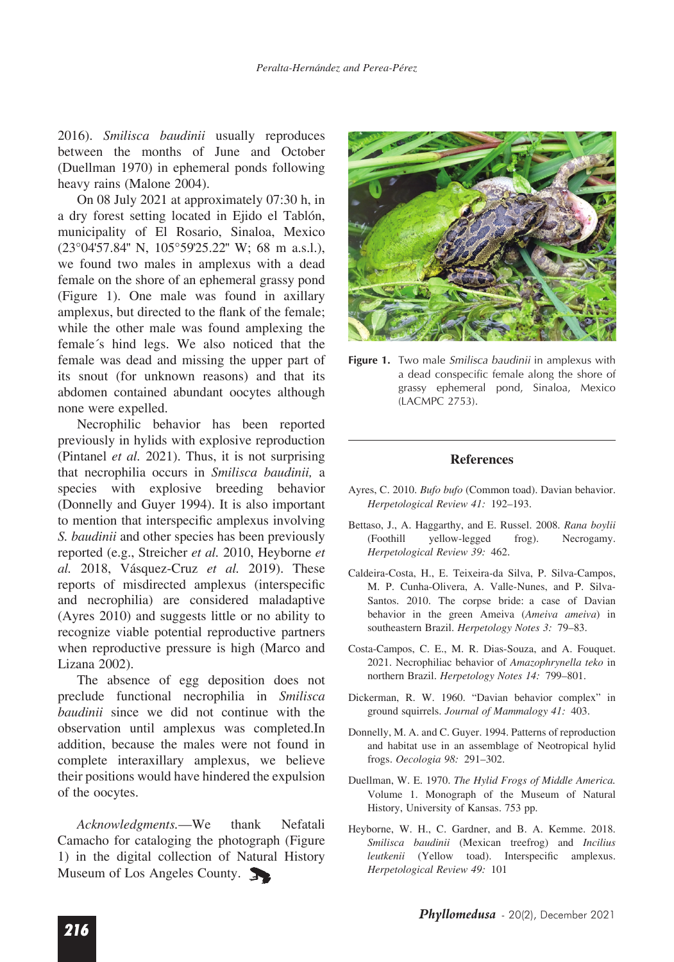2016). *Smilisca baudinii* usually reproduces between the months of June and October (Duellman 1970) in ephemeral ponds following heavy rains (Malone 2004).

On 08 July 2021 at approximately 07:30 h, in a dry forest setting located in Ejido el Tablón, municipality of El Rosario, Sinaloa, Mexico  $(23^{\circ}04'57.84''$  N,  $105^{\circ}59'25.22''$  W; 68 m a.s.l.), we found two males in amplexus with a dead female on the shore of an ephemeral grassy pond (Figure 1). One male was found in axillary amplexus, but directed to the flank of the female; while the other male was found amplexing the female´s hind legs. We also noticed that the female was dead and missing the upper part of its snout (for unknown reasons) and that its abdomen contained abundant oocytes although none were expelled.

Necrophilic behavior has been reported previously in hylids with explosive reproduction (Pintanel *et al.* 2021). Thus, it is not surprising that necrophilia occurs in *Smilisca baudinii,* a species with explosive breeding behavior (Donnelly and Guyer 1994). It is also important to mention that interspecific amplexus involving *S. baudinii* and other species has been previously reported (e.g., Streicher *et al.* 2010, Heyborne *et al.* 2018, Vásquez-Cruz *et al.* 2019). These reports of misdirected amplexus (interspecific and necrophilia) are considered maladaptive (Ayres 2010) and suggests little or no ability to recognize viable potential reproductive partners when reproductive pressure is high (Marco and Lizana 2002).

The absence of egg deposition does not preclude functional necrophilia in *Smilisca baudinii* since we did not continue with the observation until amplexus was completed.In addition, because the males were not found in complete interaxillary amplexus, we believe their positions would have hindered the expulsion of the oocytes.

*Acknowledgments.*—We thank Nefatali Camacho for cataloging the photograph (Figure 1) in the digital collection of Natural History Museum of Los Angeles County.



**Figure 1.** Two male *Smilisca baudinii* in amplexus with a dead conspecific female along the shore of grassy ephemeral pond, Sinaloa, Mexico (LACMPC 2753).

## **References**

- Ayres, C. 2010. *Bufo bufo* (Common toad). Davian behavior. *Herpetological Review 41:* 192–193.
- Bettaso, J., A. Haggarthy, and E. Russel. 2008. *Rana boylii* (Foothill yellow-legged frog). Necrogamy. *Herpetological Review 39:* 462.
- Caldeira-Costa, H., E. Teixeira-da Silva, P. Silva-Campos, M. P. Cunha-Olivera, A. Valle-Nunes, and P. Silva-Santos. 2010. The corpse bride: a case of Davian behavior in the green Ameiva (*Ameiva ameiva*) in southeastern Brazil. *Herpetology Notes 3:* 79–83.
- Costa-Campos, C. E., M. R. Dias-Souza, and A. Fouquet. 2021. Necrophiliac behavior of *Amazophrynella teko* in northern Brazil. *Herpetology Notes 14:* 799–801.
- Dickerman, R. W. 1960. "Davian behavior complex" in ground squirrels. *Journal of Mammalogy 41:* 403.
- Donnelly, M. A. and C. Guyer. 1994. Patterns of reproduction and habitat use in an assemblage of Neotropical hylid frogs. *Oecologia 98:* 291–302.
- Duellman, W. E. 1970. *The Hylid Frogs of Middle America.*  Volume 1. Monograph of the Museum of Natural History, University of Kansas. 753 pp.
- Heyborne, W. H., C. Gardner, and B. A. Kemme. 2018. *Smilisca baudinii* (Mexican treefrog) and *Incilius*  leutkenii (Yellow toad). Interspecific amplexus. *Herpetological Review 49:* 101